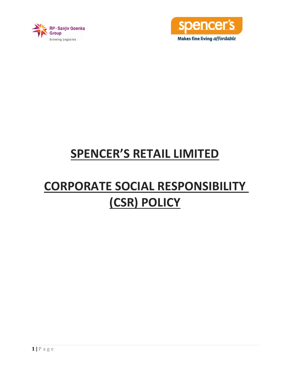



## **SPENCER'S RETAIL LIMITED**

# **CORPORATE SOCIAL RESPONSIBILITY (CSR) POLICY**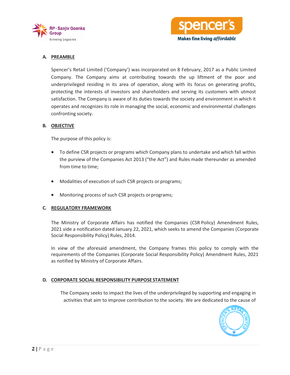



## **A. PREAMBLE**

Spencer's Retail Limited ('Company') was incorporated on 8 February, 2017 as a Public Limited Company. The Company aims at contributing towards the up liftment of the poor and underprivileged residing in its area of operation, along with its focus on generating profits, protecting the interests of investors and shareholders and serving its customers with utmost satisfaction. The Company is aware of its duties towards the society and environment in which it operates and recognizes its role in managing the social, economic and environmental challenges confronting society.

#### **B. OBJECTIVE**

The purpose of this policy is:

- To define CSR projects or programs which Company plans to undertake and which fall within the purview of the Companies Act 2013 ("the Act") and Rules made thereunder as amended from time to time;
- Modalities of execution of such CSR projects or programs;
- Monitoring process of such CSR projects orprograms;

#### **C. REGULATORY FRAMEWORK**

The Ministry of Corporate Affairs has notified the Companies [\(CSR](https://www.indiafilings.com/learn/csr-funds-for-covid-19/) Policy) Amendment Rules, 2021 vide a notification dated January 22, 2021, which seeks to amend the Companies [\(Corporate](https://www.indiafilings.com/learn/corporate-social-responsibility/)  [Social Responsibility Policy\)](https://www.indiafilings.com/learn/corporate-social-responsibility/) Rules, 2014.

In view of the aforesaid amendment, the Company frames this policy to comply with the requirements of the Companies (Corporate Social Responsibility Policy) Amendment Rules, 2021 as notified by Ministry of Corporate Affairs.

#### **D. CORPORATE SOCIAL RESPONSIBILITY PURPOSE STATEMENT**

The Company seeks to impact the lives of the underprivileged by supporting and engaging in activities that aim to improve contribution to the society. We are dedicated to the cause of

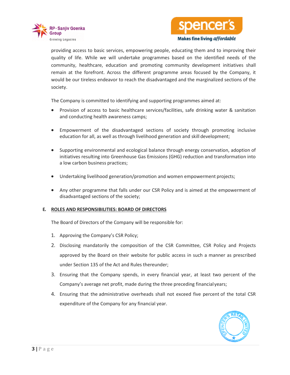



providing access to basic services, empowering people, educating them and to improving their quality of life. While we will undertake programmes based on the identified needs of the community, healthcare, education and promoting community development initiatives shall remain at the forefront. Across the different programme areas focused by the Company, it would be our tireless endeavor to reach the disadvantaged and the marginalized sections of the society.

The Company is committed to identifying and supporting programmes aimed at:

- Provision of access to basic healthcare services/facilities, safe drinking water & sanitation and conducting health awareness camps;
- Empowerment of the disadvantaged sections of society through promoting inclusive education for all, as well as through livelihood generation and skill development;
- Supporting environmental and ecological balance through energy conservation, adoption of initiatives resulting into Greenhouse Gas Emissions (GHG) reduction and transformation into a low carbon business practices;
- Undertaking livelihood generation/promotion and women empowerment projects;
- Any other programme that falls under our CSR Policy and is aimed at the empowerment of disadvantaged sections of the society;

#### **E. ROLES AND RESPONSIBILITIES: BOARD OF DIRECTORS**

The Board of Directors of the Company will be responsible for:

- 1. Approving the Company's CSR Policy;
- 2. Disclosing mandatorily the composition of the CSR Committee, CSR Policy and Projects approved by the Board on their website for public access in such a manner as prescribed under Section 135 of the Act and Rules thereunder;
- 3. Ensuring that the Company spends, in every financial year, at least two percent of the Company's average net profit, made during the three preceding financialyears;
- 4. Ensuring that the administrative overheads shall not exceed five percent of the total CSR expenditure of the Company for any financial year.

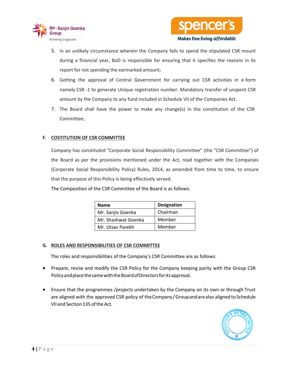



- 5. In an unlikely circumstance wherein the Company fails to spend the stipulated CSR mount during a financial year, BoD is responsible for ensuring that it specifies the reasons in its report for not spending the earmarked amount;
- 6. Getting the approval of Central Government for carrying out CSR activities in e-form namely CSR -1 to generate Unique registration number. Mandatory transfer of unspent CSR amount by the Company to any fund included in Schedule VII of the Companies Act.
- 7. The Board shall have the power to make any change(s) in the constitution of the CSR Committee;

## **F. COSTITUTION OF CSR COMMITTEE**

Company has constituted "Corporate Social Responsibility Committee" (the "CSR Committee") of the Board as per the provisions mentioned under the Act, read together with the Companies (Corporate Social Responsibility Policy) Rules, 2014, as amended from time to time, to ensure that the purpose of this Policy is being effectively served.

The Composition of the CSR Committee of the Board is as follows:

| <b>Name</b>         | <b>Designation</b> |
|---------------------|--------------------|
| Mr. Sanjiv Goenka   | Chairman           |
| Mr. Shashwat Goenka | Member             |
| Mr. Utsav Parekh    | Member             |

#### **G. ROLES AND RESPONSIBILITIES OF CSR COMMITTEE**

The roles and responsibilities of the Company's CSR Committee are as follows:

- Prepare, revise and modify the CSR Policy for the Company keeping parity with the Group CSR PolicyandplacethesamewiththeBoardofDirectorsforitsapproval.
- Ensure that the programmes /projects undertaken by the Company on its own or through Trust are aligned with the approved CSR policy of theCompany /Groupandarealso aligned to Schedule VII and Section 135 ofthe Act.

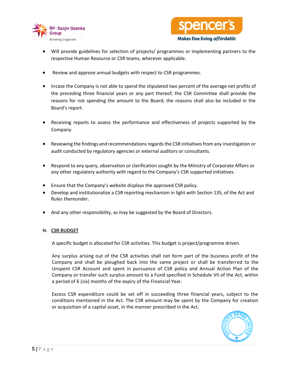



- Will provide guidelines for selection of projects/ programmes or implementing partners to the respective Human Resource or CSR teams, wherever applicable.
- Review and approve annual budgets with respect to CSR programmes.
- Incase the Company is not able to spend the stipulated two percent of the average net profits of the preceding three financial years or any part thereof, the CSR Committee shall provide the reasons for not spending the amount to the Board; the reasons shall also be included in the Board's report.
- Receiving reports to assess the performance and effectiveness of projects supported by the Company.
- Reviewing the findings and recommendations regards the CSR initiatives from any investigation or audit conducted by regulatory agencies or external auditors or consultants.
- Respond to any query, observation or clarification sought by the Ministry of Corporate Affairs or any other regulatory authority with regard to the Company's CSR supported initiatives.
- Ensure that the Company's website displays the approved CSR policy.
- Develop and institutionalize a CSR reporting mechanism in light with Section 135, of the Act and Rules thereunder.
- And any other responsibility, as may be suggested by the Board of Directors.

#### **H. CSR BUDGET**

A specific budget is allocated for CSR activities. This budget is project/programme driven.

Any surplus arising out of the CSR activities shall not form part of the business profit of the Company and shall be ploughed back into the same project or shall be transferred to the Unspent CSR Account and spent in pursuance of CSR policy and Annual Action Plan of the Company or transfer such surplus amount to a Fund specified in Schedule VII of the Act, within a period of 6 (six) months of the expiry of the Financial Year.

Excess CSR expenditure could be set off in succeeding three financial years, subject to the conditions mentioned in the Act. The CSR amount may be spent by the Company for creation or acquisition of a capital asset, in the manner prescribed in the Act.

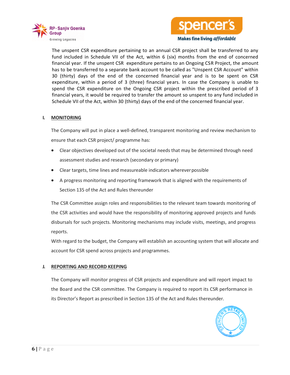



**Makes fine living affordable** 

The unspent CSR expenditure pertaining to an annual CSR project shall be transferred to any fund included in Schedule VII of the Act, within 6 (six) months from the end of concerned financial year. If the unspent CSR expenditure pertains to an Ongoing CSR Project, the amount has to be transferred to a separate bank account to be called as "Unspent CSR Account" within 30 (thirty) days of the end of the concerned financial year and is to be spent on CSR expenditure, within a period of 3 (three) financial years. In case the Company is unable to spend the CSR expenditure on the Ongoing CSR project within the prescribed period of 3 financial years, it would be required to transfer the amount so unspent to any fund included in Schedule VII of the Act, within 30 (thirty) days of the end of the concerned financial year.

#### **I. MONITORING**

The Company will put in place a well-defined, transparent monitoring and review mechanism to ensure that each CSR project/ programme has:

- Clear objectives developed out of the societal needs that may be determined through need assessment studies and research (secondary or primary)
- Clear targets, time lines and measureable indicators whereverpossible
- A progress monitoring and reporting framework that is aligned with the requirements of Section 135 of the Act and Rules thereunder

The CSR Committee assign roles and responsibilities to the relevant team towards monitoring of the CSR activities and would have the responsibility of monitoring approved projects and funds disbursals for such projects. Monitoring mechanisms may include visits, meetings, and progress reports.

With regard to the budget, the Company will establish an accounting system that will allocate and account for CSR spend across projects and programmes.

#### **J. REPORTING AND RECORD KEEPING**

The Company will monitor progress of CSR projects and expenditure and will report impact to the Board and the CSR committee. The Company is required to report its CSR performance in its Director's Report as prescribed in Section 135 of the Act and Rules thereunder.

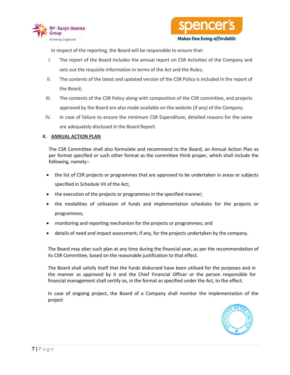



In respect of the reporting, the Board will be responsible to ensure that:

- I. The report of the Board includes the annual report on CSR Activities of the Company and sets out the requisite information in terms of the Act and the Rules;
- II. The contents of the latest and updated version of the CSR Policy is included in the report of the Board;
- III. The contents of the CSR Policy along with composition of the CSR committee, and projects approved by the Board are also made available on the website (if any) of the Company.
- IV. In case of failure to ensure the minimum CSR Expenditure, detailed reasons for the same are adequately disclosed in the Board Report.

### **K. ANNUAL ACTION PLAN**

The CSR Committee shall also formulate and recommend to the Board, an Annual Action Plan as per format specified or such other format as the committee think proper, which shall include the following, namely:-

- the list of CSR projects or programmes that are approved to be undertaken in areas or subjects specified in Schedule VII of the Act;
- the execution of the projects or programmes in the specified manner;
- the modalities of utilisation of funds and implementation schedules for the projects or programmes;
- monitoring and reporting mechanism for the projects or programmes; and
- details of need and impact assessment, if any, for the projects undertaken by the company.

The Board may alter such plan at any time during the financial year, as per the recommendation of its CSR Committee, based on the reasonable justification to that effect.

The Board shall satisfy itself that the funds disbursed have been utilised for the purposes and in the manner as approved by it and the Chief Financial Officer or the person responsible for financial management shall certify so, in the format as specified under the Act, to the effect.

In case of ongoing project, the Board of a Company shall monitor the implementation of the project